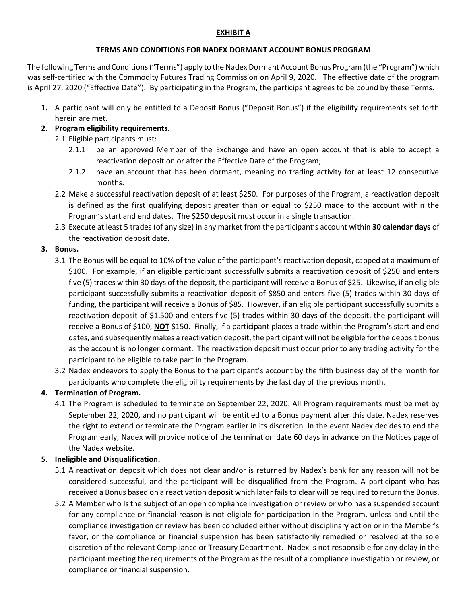## **EXHIBIT A**

#### **TERMS AND CONDITIONS FOR NADEX DORMANT ACCOUNT BONUS PROGRAM**

The following Terms and Conditions ("Terms") apply to the Nadex Dormant Account Bonus Program (the "Program") which was self-certified with the Commodity Futures Trading Commission on April 9, 2020. The effective date of the program is April 27, 2020 ("Effective Date"). By participating in the Program, the participant agrees to be bound by these Terms.

**1.** A participant will only be entitled to a Deposit Bonus ("Deposit Bonus") if the eligibility requirements set forth herein are met.

# **2. Program eligibility requirements.**

2.1 Eligible participants must:

- 2.1.1 be an approved Member of the Exchange and have an open account that is able to accept a reactivation deposit on or after the Effective Date of the Program;
- 2.1.2 have an account that has been dormant, meaning no trading activity for at least 12 consecutive months.
- 2.2 Make a successful reactivation deposit of at least \$250. For purposes of the Program, a reactivation deposit is defined as the first qualifying deposit greater than or equal to \$250 made to the account within the Program's start and end dates. The \$250 deposit must occur in a single transaction.
- 2.3 Execute at least 5 trades (of any size) in any market from the participant's account within **30 calendar days** of the reactivation deposit date.

## **3. Bonus.**

- 3.1 The Bonus will be equal to 10% of the value of the participant's reactivation deposit, capped at a maximum of \$100. For example, if an eligible participant successfully submits a reactivation deposit of \$250 and enters five (5) trades within 30 days of the deposit, the participant will receive a Bonus of \$25. Likewise, if an eligible participant successfully submits a reactivation deposit of \$850 and enters five (5) trades within 30 days of funding, the participant will receive a Bonus of \$85. However, if an eligible participant successfully submits a reactivation deposit of \$1,500 and enters five (5) trades within 30 days of the deposit, the participant will receive a Bonus of \$100, **NOT** \$150. Finally, if a participant places a trade within the Program's start and end dates, and subsequently makes a reactivation deposit, the participant will not be eligible for the deposit bonus as the account is no longer dormant. The reactivation deposit must occur prior to any trading activity for the participant to be eligible to take part in the Program.
- 3.2 Nadex endeavors to apply the Bonus to the participant's account by the fifth business day of the month for participants who complete the eligibility requirements by the last day of the previous month.

## **4. Termination of Program.**

4.1 The Program is scheduled to terminate on September 22, 2020. All Program requirements must be met by September 22, 2020, and no participant will be entitled to a Bonus payment after this date. Nadex reserves the right to extend or terminate the Program earlier in its discretion. In the event Nadex decides to end the Program early, Nadex will provide notice of the termination date 60 days in advance on the Notices page of the Nadex website.

## **5. Ineligible and Disqualification.**

- 5.1 A reactivation deposit which does not clear and/or is returned by Nadex's bank for any reason will not be considered successful, and the participant will be disqualified from the Program. A participant who has received a Bonus based on a reactivation deposit which later fails to clear will be required to return the Bonus.
- 5.2 A Member who Is the subject of an open compliance investigation or review or who has a suspended account for any compliance or financial reason is not eligible for participation in the Program, unless and until the compliance investigation or review has been concluded either without disciplinary action or in the Member's favor, or the compliance or financial suspension has been satisfactorily remedied or resolved at the sole discretion of the relevant Compliance or Treasury Department. Nadex is not responsible for any delay in the participant meeting the requirements of the Program as the result of a compliance investigation or review, or compliance or financial suspension.